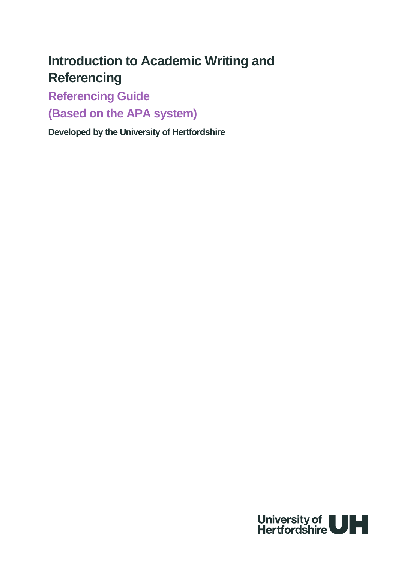# **Introduction to Academic Writing and Referencing**

**Referencing Guide**

**(Based on the APA system)**

**Developed by the University of Hertfordshire**

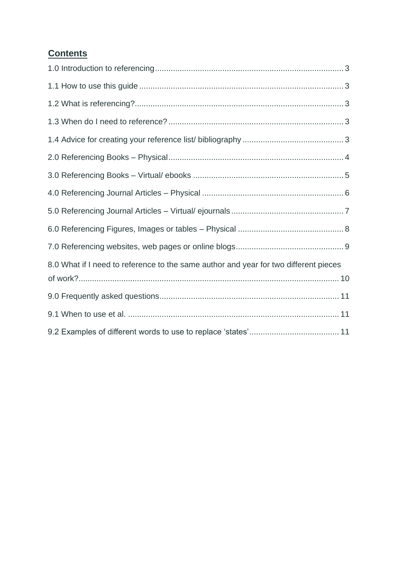# **Contents**

<span id="page-1-0"></span>

| 8.0 What if I need to reference to the same author and year for two different pieces |  |
|--------------------------------------------------------------------------------------|--|
|                                                                                      |  |
|                                                                                      |  |
|                                                                                      |  |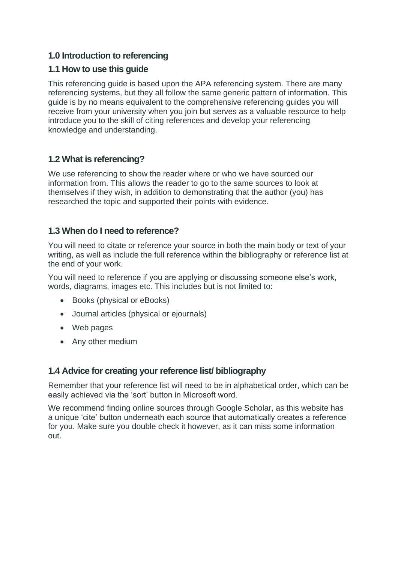# <span id="page-2-0"></span>**1.0 Introduction to referencing**

# **1.1 How to use this guide**

This referencing guide is based upon the APA referencing system. There are many referencing systems, but they all follow the same generic pattern of information. This guide is by no means equivalent to the comprehensive referencing guides you will receive from your university when you join but serves as a valuable resource to help introduce you to the skill of citing references and develop your referencing knowledge and understanding.

# <span id="page-2-1"></span>**1.2 What is referencing?**

We use referencing to show the reader where or who we have sourced our information from. This allows the reader to go to the same sources to look at themselves if they wish, in addition to demonstrating that the author (you) has researched the topic and supported their points with evidence.

# <span id="page-2-2"></span>**1.3 When do I need to reference?**

You will need to citate or reference your source in both the main body or text of your writing, as well as include the full reference within the bibliography or reference list at the end of your work.

You will need to reference if you are applying or discussing someone else's work, words, diagrams, images etc. This includes but is not limited to:

- Books (physical or eBooks)
- Journal articles (physical or ejournals)
- Web pages
- <span id="page-2-3"></span>• Any other medium

## **1.4 Advice for creating your reference list/ bibliography**

Remember that your reference list will need to be in alphabetical order, which can be easily achieved via the 'sort' button in Microsoft word.

<span id="page-2-4"></span>We recommend finding online sources through Google Scholar, as this website has a unique 'cite' button underneath each source that automatically creates a reference for you. Make sure you double check it however, as it can miss some information out.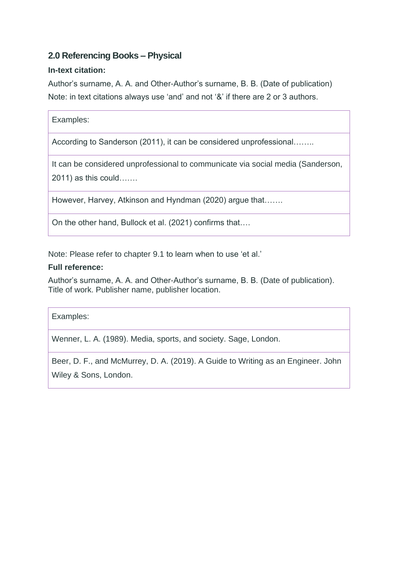# **2.0 Referencing Books – Physical**

## **In-text citation:**

Author's surname, A. A. and Other-Author's surname, B. B. (Date of publication) Note: in text citations always use 'and' and not '&' if there are 2 or 3 authors.

According to Sanderson (2011), it can be considered unprofessional……..

It can be considered unprofessional to communicate via social media (Sanderson, 2011) as this could…….

However, Harvey, Atkinson and Hyndman (2020) argue that…….

On the other hand, Bullock et al. (2021) confirms that….

Note: Please refer to chapter 9.1 to learn when to use 'et al.'

#### **Full reference:**

Author's surname, A. A. and Other-Author's surname, B. B. (Date of publication). Title of work. Publisher name, publisher location.

Examples:

Wenner, L. A. (1989). Media, sports, and society. Sage, London.

<span id="page-3-0"></span>Beer, D. F., and McMurrey, D. A. (2019). A Guide to Writing as an Engineer. John Wiley & Sons, London.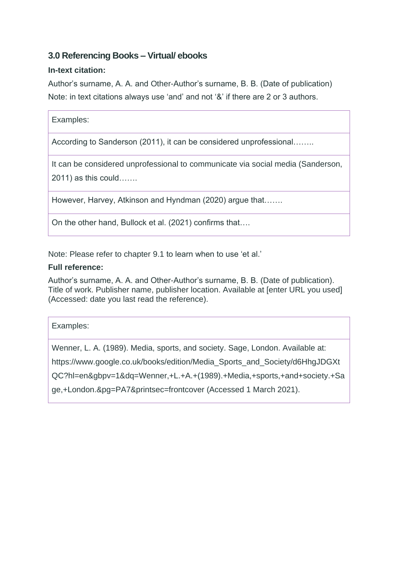# **3.0 Referencing Books – Virtual/ ebooks**

## **In-text citation:**

Author's surname, A. A. and Other-Author's surname, B. B. (Date of publication) Note: in text citations always use 'and' and not '&' if there are 2 or 3 authors.

| Examples: |  |
|-----------|--|
|           |  |

According to Sanderson (2011), it can be considered unprofessional……..

It can be considered unprofessional to communicate via social media (Sanderson, 2011) as this could…….

However, Harvey, Atkinson and Hyndman (2020) argue that…….

On the other hand, Bullock et al. (2021) confirms that….

Note: Please refer to chapter 9.1 to learn when to use 'et al.'

#### **Full reference:**

Author's surname, A. A. and Other-Author's surname, B. B. (Date of publication). Title of work. Publisher name, publisher location. Available at [enter URL you used] (Accessed: date you last read the reference).

Examples:

Wenner, L. A. (1989). Media, sports, and society. Sage, London. Available at:

https://www.google.co.uk/books/edition/Media\_Sports\_and\_Society/d6HhgJDGXt

QC?hl=en&gbpv=1&dq=Wenner,+L.+A.+(1989).+Media,+sports,+and+society.+Sa

<span id="page-4-0"></span>ge,+London.&pg=PA7&printsec=frontcover (Accessed 1 March 2021).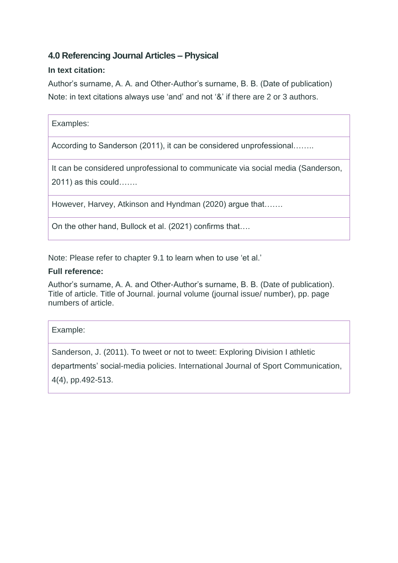# **4.0 Referencing Journal Articles – Physical**

## **In text citation:**

Author's surname, A. A. and Other-Author's surname, B. B. (Date of publication) Note: in text citations always use 'and' and not '&' if there are 2 or 3 authors.

## Examples:

According to Sanderson (2011), it can be considered unprofessional……..

It can be considered unprofessional to communicate via social media (Sanderson, 2011) as this could…….

However, Harvey, Atkinson and Hyndman (2020) argue that…….

On the other hand, Bullock et al. (2021) confirms that….

Note: Please refer to chapter 9.1 to learn when to use 'et al.'

#### **Full reference:**

Author's surname, A. A. and Other-Author's surname, B. B. (Date of publication). Title of article. Title of Journal. journal volume (journal issue/ number), pp. page numbers of article.

#### Example:

Sanderson, J. (2011). To tweet or not to tweet: Exploring Division I athletic

departments' social-media policies. International Journal of Sport Communication,

<span id="page-5-0"></span>4(4), pp.492-513.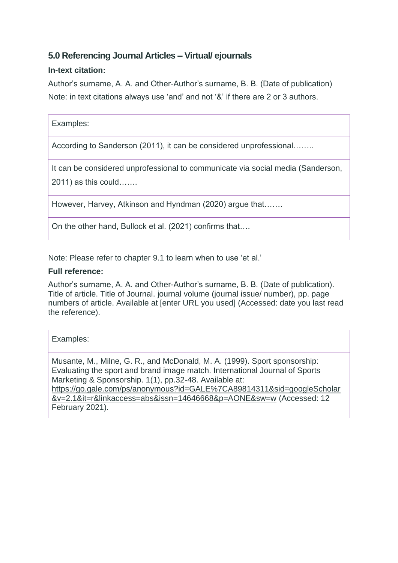# **5.0 Referencing Journal Articles – Virtual/ ejournals**

## **In-text citation:**

Author's surname, A. A. and Other-Author's surname, B. B. (Date of publication) Note: in text citations always use 'and' and not '&' if there are 2 or 3 authors.

According to Sanderson (2011), it can be considered unprofessional……..

It can be considered unprofessional to communicate via social media (Sanderson,

2011) as this could…….

However, Harvey, Atkinson and Hyndman (2020) argue that…….

On the other hand, Bullock et al. (2021) confirms that….

Note: Please refer to chapter 9.1 to learn when to use 'et al.'

#### **Full reference:**

Author's surname, A. A. and Other-Author's surname, B. B. (Date of publication). Title of article. Title of Journal. journal volume (journal issue/ number), pp. page numbers of article. Available at [enter URL you used] (Accessed: date you last read the reference).

#### Examples:

<span id="page-6-0"></span>Musante, M., Milne, G. R., and McDonald, M. A. (1999). Sport sponsorship: Evaluating the sport and brand image match. International Journal of Sports Marketing & Sponsorship. 1(1), pp.32-48. Available at: [https://go.gale.com/ps/anonymous?id=GALE%7CA89814311&sid=googleScholar](https://go.gale.com/ps/anonymous?id=GALE%7CA89814311&sid=googleScholar&v=2.1&it=r&linkaccess=abs&issn=14646668&p=AONE&sw=w) [&v=2.1&it=r&linkaccess=abs&issn=14646668&p=AONE&sw=w](https://go.gale.com/ps/anonymous?id=GALE%7CA89814311&sid=googleScholar&v=2.1&it=r&linkaccess=abs&issn=14646668&p=AONE&sw=w) (Accessed: 12 February 2021).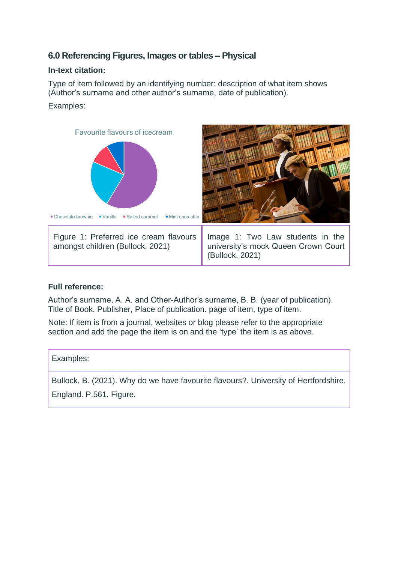# **6.0 Referencing Figures, Images or tables – Physical**

## **In-text citation:**

Type of item followed by an identifying number: description of what item shows (Author's surname and other author's surname, date of publication).

## Examples:



#### **Full reference:**

Author's surname, A. A. and Other-Author's surname, B. B. (year of publication). Title of Book. Publisher, Place of publication. page of item, type of item.

Note: If item is from a journal, websites or blog please refer to the appropriate section and add the page the item is on and the 'type' the item is as above.

Examples: Bullock, B. (2021). Why do we have favourite flavours?. University of Hertfordshire,

<span id="page-7-0"></span>England. P.561. Figure.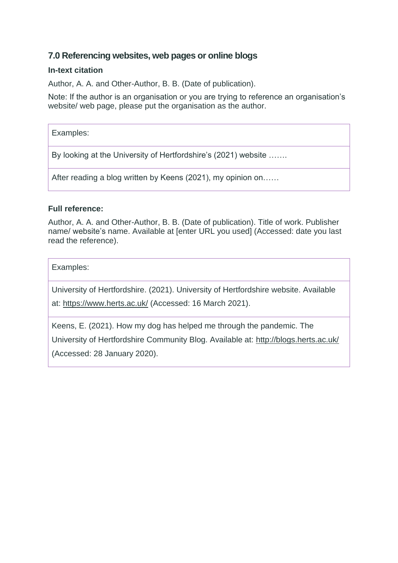## **7.0 Referencing websites, web pages or online blogs**

## **In-text citation**

Author, A. A. and Other-Author, B. B. (Date of publication).

Note: If the author is an organisation or you are trying to reference an organisation's website/ web page, please put the organisation as the author.

## Examples:

By looking at the University of Hertfordshire's (2021) website …….

After reading a blog written by Keens (2021), my opinion on……

## **Full reference:**

Author, A. A. and Other-Author, B. B. (Date of publication). Title of work. Publisher name/ website's name. Available at [enter URL you used] (Accessed: date you last read the reference).

Examples:

University of Hertfordshire. (2021). University of Hertfordshire website. Available

at:<https://www.herts.ac.uk/> (Accessed: 16 March 2021).

<span id="page-8-0"></span>Keens, E. (2021). How my dog has helped me through the pandemic. The University of Hertfordshire Community Blog. Available at:<http://blogs.herts.ac.uk/> (Accessed: 28 January 2020).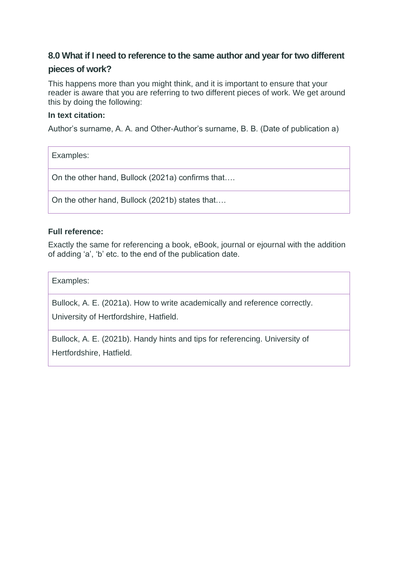# **8.0 What if I need to reference to the same author and year for two different pieces of work?**

This happens more than you might think, and it is important to ensure that your reader is aware that you are referring to two different pieces of work. We get around this by doing the following:

#### **In text citation:**

Author's surname, A. A. and Other-Author's surname, B. B. (Date of publication a)

Examples:

On the other hand, Bullock (2021a) confirms that….

On the other hand, Bullock (2021b) states that….

#### **Full reference:**

Exactly the same for referencing a book, eBook, journal or ejournal with the addition of adding 'a', 'b' etc. to the end of the publication date.

Examples:

Bullock, A. E. (2021a). How to write academically and reference correctly.

University of Hertfordshire, Hatfield.

<span id="page-9-0"></span>Bullock, A. E. (2021b). Handy hints and tips for referencing. University of Hertfordshire, Hatfield.